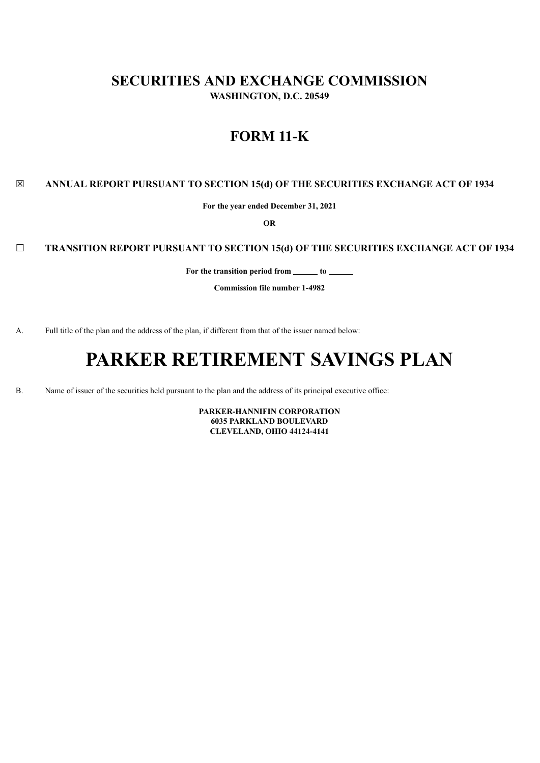# **SECURITIES AND EXCHANGE COMMISSION WASHINGTON, D.C. 20549**

# **FORM 11-K**

# ☒ **ANNUAL REPORT PURSUANT TO SECTION 15(d) OF THE SECURITIES EXCHANGE ACT OF 1934**

**For the year ended December 31, 2021**

**OR**

# ☐ **TRANSITION REPORT PURSUANT TO SECTION 15(d) OF THE SECURITIES EXCHANGE ACT OF 1934**

**For the transition period from \_\_\_\_\_\_ to** \_\_\_\_\_

**Commission file number 1-4982**

A. Full title of the plan and the address of the plan, if different from that of the issuer named below:

# **PARKER RETIREMENT SAVINGS PLAN**

B. Name of issuer of the securities held pursuant to the plan and the address of its principal executive office:

**PARKER-HANNIFIN CORPORATION 6035 PARKLAND BOULEVARD CLEVELAND, OHIO 44124-4141**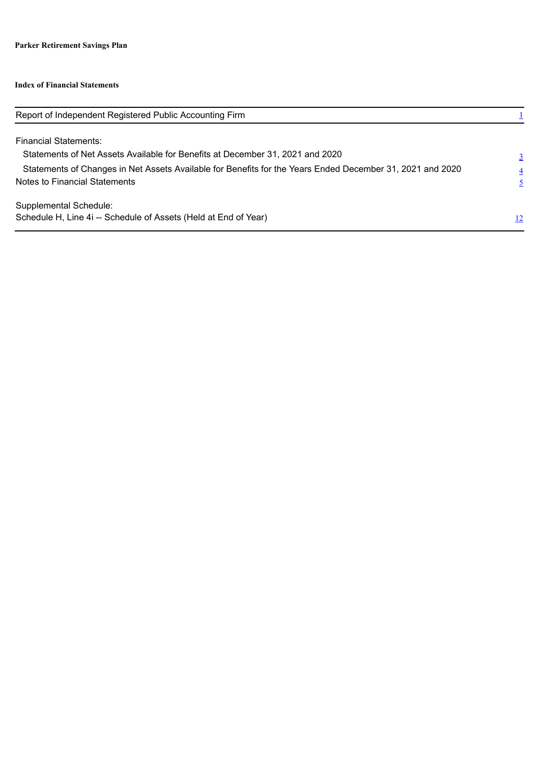# **Index of Financial Statements**

<span id="page-1-0"></span>

| Report of Independent Registered Public Accounting Firm                                                                                    |    |
|--------------------------------------------------------------------------------------------------------------------------------------------|----|
| <b>Financial Statements:</b>                                                                                                               |    |
| Statements of Net Assets Available for Benefits at December 31, 2021 and 2020                                                              | 3  |
| Statements of Changes in Net Assets Available for Benefits for the Years Ended December 31, 2021 and 2020<br>Notes to Financial Statements |    |
| Supplemental Schedule:<br>Schedule H, Line 4i -- Schedule of Assets (Held at End of Year)                                                  | 12 |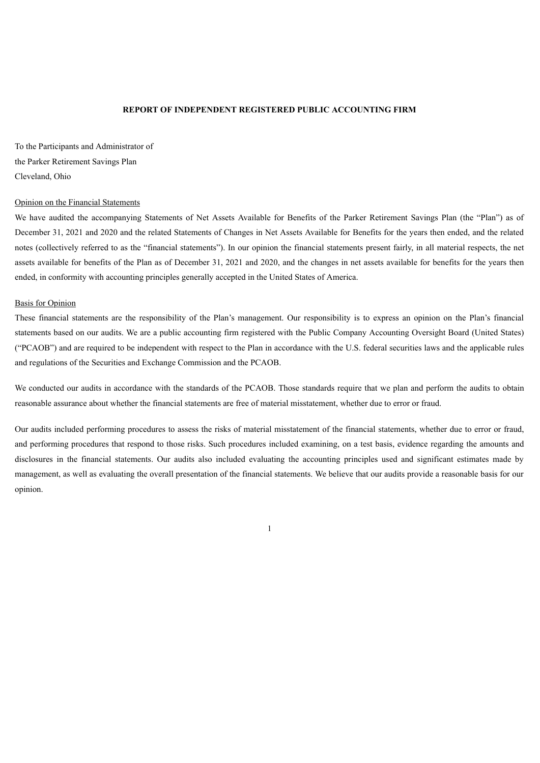# **REPORT OF INDEPENDENT REGISTERED PUBLIC ACCOUNTING FIRM**

To the Participants and Administrator of the Parker Retirement Savings Plan Cleveland, Ohio

#### Opinion on the Financial Statements

We have audited the accompanying Statements of Net Assets Available for Benefits of the Parker Retirement Savings Plan (the "Plan") as of December 31, 2021 and 2020 and the related Statements of Changes in Net Assets Available for Benefits for the years then ended, and the related notes (collectively referred to as the "financial statements"). In our opinion the financial statements present fairly, in all material respects, the net assets available for benefits of the Plan as of December 31, 2021 and 2020, and the changes in net assets available for benefits for the years then ended, in conformity with accounting principles generally accepted in the United States of America.

#### Basis for Opinion

These financial statements are the responsibility of the Plan's management. Our responsibility is to express an opinion on the Plan's financial statements based on our audits. We are a public accounting firm registered with the Public Company Accounting Oversight Board (United States) ("PCAOB") and are required to be independent with respect to the Plan in accordance with the U.S. federal securities laws and the applicable rules and regulations of the Securities and Exchange Commission and the PCAOB.

We conducted our audits in accordance with the standards of the PCAOB. Those standards require that we plan and perform the audits to obtain reasonable assurance about whether the financial statements are free of material misstatement, whether due to error or fraud.

Our audits included performing procedures to assess the risks of material misstatement of the financial statements, whether due to error or fraud, and performing procedures that respond to those risks. Such procedures included examining, on a test basis, evidence regarding the amounts and disclosures in the financial statements. Our audits also included evaluating the accounting principles used and significant estimates made by management, as well as evaluating the overall presentation of the financial statements. We believe that our audits provide a reasonable basis for our opinion.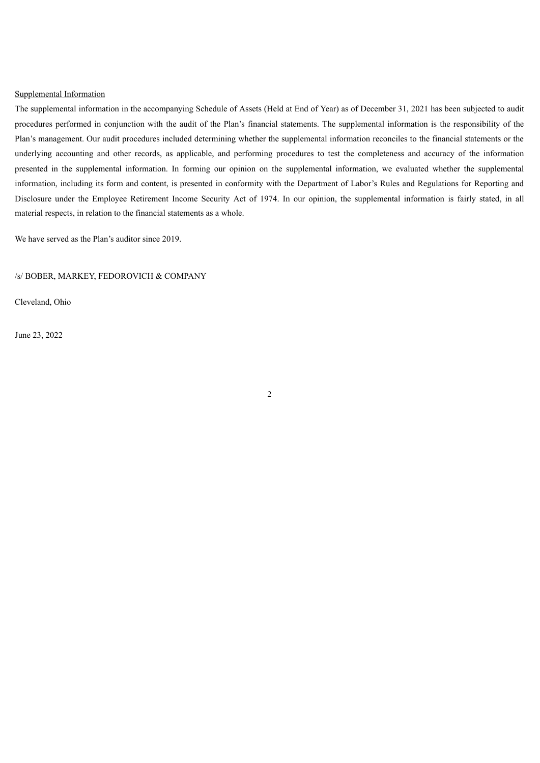# Supplemental Information

The supplemental information in the accompanying Schedule of Assets (Held at End of Year) as of December 31, 2021 has been subjected to audit procedures performed in conjunction with the audit of the Plan's financial statements. The supplemental information is the responsibility of the Plan's management. Our audit procedures included determining whether the supplemental information reconciles to the financial statements or the underlying accounting and other records, as applicable, and performing procedures to test the completeness and accuracy of the information presented in the supplemental information. In forming our opinion on the supplemental information, we evaluated whether the supplemental information, including its form and content, is presented in conformity with the Department of Labor's Rules and Regulations for Reporting and Disclosure under the Employee Retirement Income Security Act of 1974. In our opinion, the supplemental information is fairly stated, in all material respects, in relation to the financial statements as a whole.

We have served as the Plan's auditor since 2019.

#### /s/ BOBER, MARKEY, FEDOROVICH & COMPANY

Cleveland, Ohio

June 23, 2022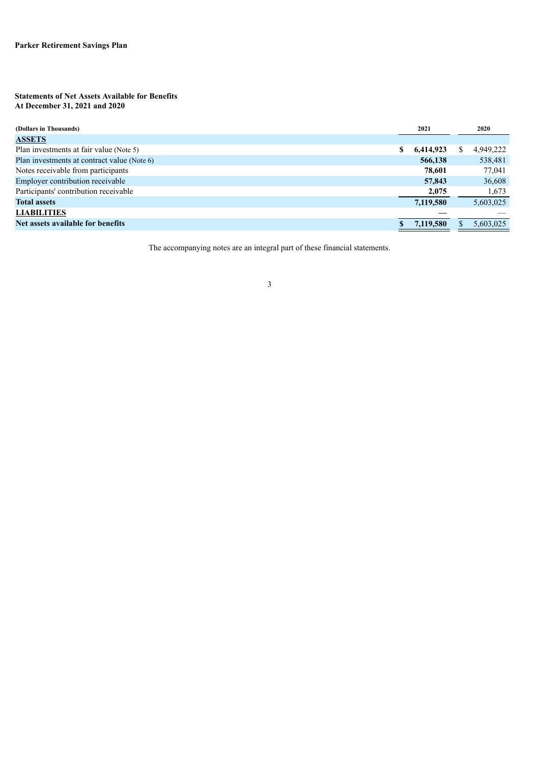# <span id="page-4-0"></span>**Statements of Net Assets Available for Benefits At December 31, 2021 and 2020**

| (Dollars in Thousands)                      | 2021           | 2020           |
|---------------------------------------------|----------------|----------------|
| <b>ASSETS</b>                               |                |                |
| Plan investments at fair value (Note 5)     | S<br>6,414,923 | 4,949,222<br>S |
| Plan investments at contract value (Note 6) | 566,138        | 538,481        |
| Notes receivable from participants          | 78.601         | 77,041         |
| Employer contribution receivable            | 57,843         | 36,608         |
| Participants' contribution receivable       | 2.075          | 1,673          |
| <b>Total assets</b>                         | 7,119,580      | 5,603,025      |
| <b>LIABILITIES</b>                          |                |                |
| Net assets available for benefits           | 7,119,580      | 5,603,025      |

<span id="page-4-1"></span>The accompanying notes are an integral part of these financial statements.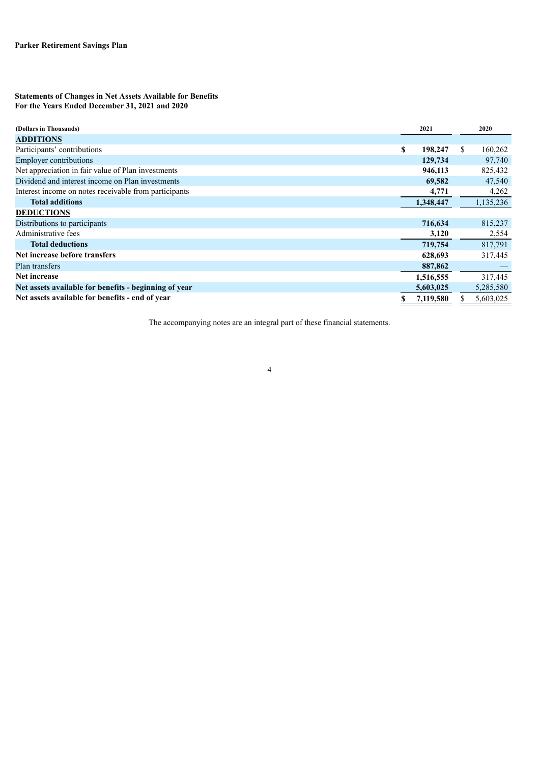# **Statements of Changes in Net Assets Available for Benefits For the Years Ended December 31, 2021 and 2020**

| (Dollars in Thousands)                                | 2021            | 2020          |
|-------------------------------------------------------|-----------------|---------------|
| <b>ADDITIONS</b>                                      |                 |               |
| Participants' contributions                           | S<br>198,247    | 160,262<br>S. |
| <b>Employer contributions</b>                         | 129,734         | 97,740        |
| Net appreciation in fair value of Plan investments    | 946,113         | 825,432       |
| Dividend and interest income on Plan investments      | 69,582          | 47,540        |
| Interest income on notes receivable from participants | 4,771           | 4,262         |
| <b>Total additions</b>                                | 1,348,447       | 1,135,236     |
| <b>DEDUCTIONS</b>                                     |                 |               |
| Distributions to participants                         | 716,634         | 815,237       |
| Administrative fees                                   | 3,120           | 2,554         |
| <b>Total deductions</b>                               | 719,754         | 817,791       |
| Net increase before transfers                         | 628,693         | 317,445       |
| Plan transfers                                        | 887,862         |               |
| Net increase                                          | 1,516,555       | 317,445       |
| Net assets available for benefits - beginning of year | 5,603,025       | 5,285,580     |
| Net assets available for benefits - end of year       | \$<br>7,119,580 | 5,603,025     |

The accompanying notes are an integral part of these financial statements.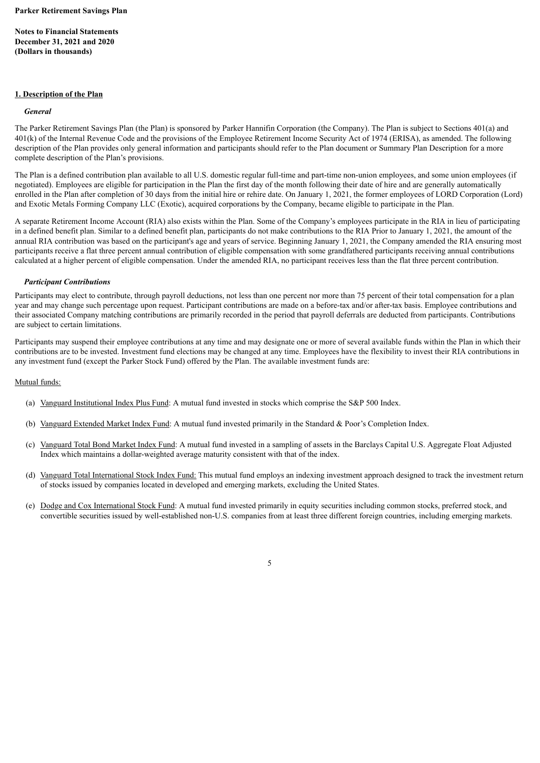**Notes to Financial Statements December 31, 2021 and 2020 (Dollars in thousands)**

### <span id="page-6-0"></span>**1. Description of the Plan**

#### *General*

The Parker Retirement Savings Plan (the Plan) is sponsored by Parker Hannifin Corporation (the Company). The Plan is subject to Sections 401(a) and 401(k) of the Internal Revenue Code and the provisions of the Employee Retirement Income Security Act of 1974 (ERISA), as amended. The following description of the Plan provides only general information and participants should refer to the Plan document or Summary Plan Description for a more complete description of the Plan's provisions.

The Plan is a defined contribution plan available to all U.S. domestic regular full-time and part-time non-union employees, and some union employees (if negotiated). Employees are eligible for participation in the Plan the first day of the month following their date of hire and are generally automatically enrolled in the Plan after completion of 30 days from the initial hire or rehire date. On January 1, 2021, the former employees of LORD Corporation (Lord) and Exotic Metals Forming Company LLC (Exotic), acquired corporations by the Company, became eligible to participate in the Plan.

A separate Retirement Income Account (RIA) also exists within the Plan. Some of the Company's employees participate in the RIA in lieu of participating in a defined benefit plan. Similar to a defined benefit plan, participants do not make contributions to the RIA Prior to January 1, 2021, the amount of the annual RIA contribution was based on the participant's age and years of service. Beginning January 1, 2021, the Company amended the RIA ensuring most participants receive a flat three percent annual contribution of eligible compensation with some grandfathered participants receiving annual contributions calculated at a higher percent of eligible compensation. Under the amended RIA, no participant receives less than the flat three percent contribution.

#### *Participant Contributions*

Participants may elect to contribute, through payroll deductions, not less than one percent nor more than 75 percent of their total compensation for a plan year and may change such percentage upon request. Participant contributions are made on a before-tax and/or after-tax basis. Employee contributions and their associated Company matching contributions are primarily recorded in the period that payroll deferrals are deducted from participants. Contributions are subject to certain limitations.

Participants may suspend their employee contributions at any time and may designate one or more of several available funds within the Plan in which their contributions are to be invested. Investment fund elections may be changed at any time. Employees have the flexibility to invest their RIA contributions in any investment fund (except the Parker Stock Fund) offered by the Plan. The available investment funds are:

#### Mutual funds:

- (a) Vanguard Institutional Index Plus Fund: A mutual fund invested in stocks which comprise the S&P 500 Index.
- (b) Vanguard Extended Market Index Fund: A mutual fund invested primarily in the Standard & Poor's Completion Index.
- (c) Vanguard Total Bond Market Index Fund: A mutual fund invested in a sampling of assets in the Barclays Capital U.S. Aggregate Float Adjusted Index which maintains a dollar-weighted average maturity consistent with that of the index.
- (d) Vanguard Total International Stock Index Fund: This mutual fund employs an indexing investment approach designed to track the investment return of stocks issued by companies located in developed and emerging markets, excluding the United States.
- (e) Dodge and Cox International Stock Fund: A mutual fund invested primarily in equity securities including common stocks, preferred stock, and convertible securities issued by well-established non-U.S. companies from at least three different foreign countries, including emerging markets.

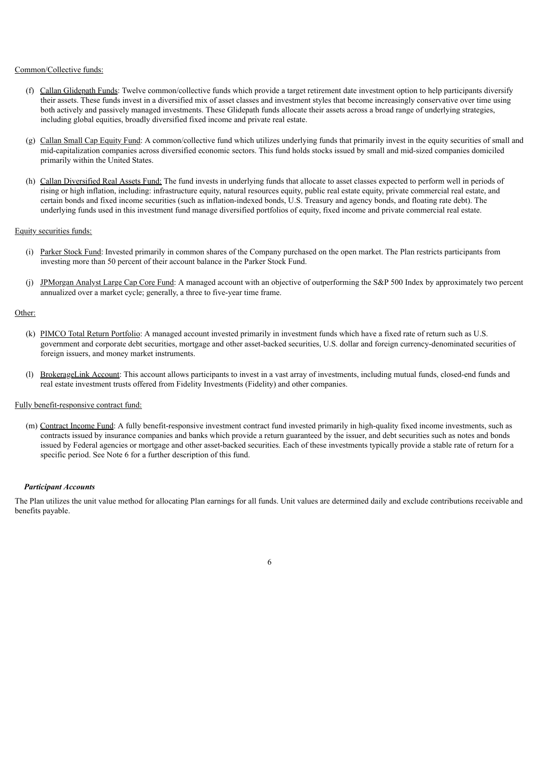#### Common/Collective funds:

- (f) Callan Glidepath Funds: Twelve common/collective funds which provide a target retirement date investment option to help participants diversify their assets. These funds invest in a diversified mix of asset classes and investment styles that become increasingly conservative over time using both actively and passively managed investments. These Glidepath funds allocate their assets across a broad range of underlying strategies, including global equities, broadly diversified fixed income and private real estate.
- (g) Callan Small Cap Equity Fund: A common/collective fund which utilizes underlying funds that primarily invest in the equity securities of small and mid-capitalization companies across diversified economic sectors. This fund holds stocks issued by small and mid-sized companies domiciled primarily within the United States.
- (h) Callan Diversified Real Assets Fund: The fund invests in underlying funds that allocate to asset classes expected to perform well in periods of rising or high inflation, including: infrastructure equity, natural resources equity, public real estate equity, private commercial real estate, and certain bonds and fixed income securities (such as inflation-indexed bonds, U.S. Treasury and agency bonds, and floating rate debt). The underlying funds used in this investment fund manage diversified portfolios of equity, fixed income and private commercial real estate.

#### Equity securities funds:

- (i) Parker Stock Fund: Invested primarily in common shares of the Company purchased on the open market. The Plan restricts participants from investing more than 50 percent of their account balance in the Parker Stock Fund.
- (j) JPMorgan Analyst Large Cap Core Fund: A managed account with an objective of outperforming the S&P 500 Index by approximately two percent annualized over a market cycle; generally, a three to five-year time frame.

#### Other:

- (k) PIMCO Total Return Portfolio: A managed account invested primarily in investment funds which have a fixed rate of return such as U.S. government and corporate debt securities, mortgage and other asset-backed securities, U.S. dollar and foreign currency-denominated securities of foreign issuers, and money market instruments.
- (l) BrokerageLink Account: This account allows participants to invest in a vast array of investments, including mutual funds, closed-end funds and real estate investment trusts offered from Fidelity Investments (Fidelity) and other companies.

#### Fully benefit-responsive contract fund:

(m) Contract Income Fund: A fully benefit-responsive investment contract fund invested primarily in high-quality fixed income investments, such as contracts issued by insurance companies and banks which provide a return guaranteed by the issuer, and debt securities such as notes and bonds issued by Federal agencies or mortgage and other asset-backed securities. Each of these investments typically provide a stable rate of return for a specific period. See Note 6 for a further description of this fund.

#### *Participant Accounts*

The Plan utilizes the unit value method for allocating Plan earnings for all funds. Unit values are determined daily and exclude contributions receivable and benefits payable.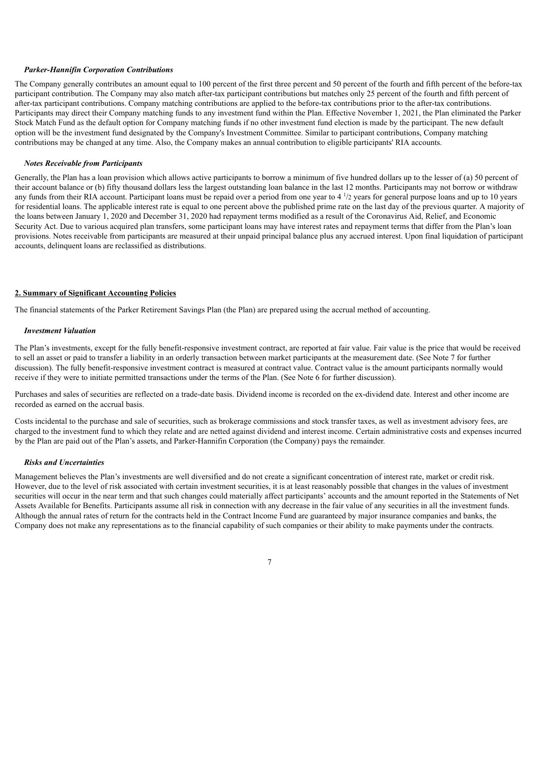#### *Parker-Hannifin Corporation Contributions*

The Company generally contributes an amount equal to 100 percent of the first three percent and 50 percent of the fourth and fifth percent of the before-tax participant contribution. The Company may also match after-tax participant contributions but matches only 25 percent of the fourth and fifth percent of after-tax participant contributions. Company matching contributions are applied to the before-tax contributions prior to the after-tax contributions. Participants may direct their Company matching funds to any investment fund within the Plan. Effective November 1, 2021, the Plan eliminated the Parker Stock Match Fund as the default option for Company matching funds if no other investment fund election is made by the participant. The new default option will be the investment fund designated by the Company's Investment Committee. Similar to participant contributions, Company matching contributions may be changed at any time. Also, the Company makes an annual contribution to eligible participants' RIA accounts.

#### *Notes Receivable from Participants*

Generally, the Plan has a loan provision which allows active participants to borrow a minimum of five hundred dollars up to the lesser of (a) 50 percent of their account balance or (b) fifty thousand dollars less the largest outstanding loan balance in the last 12 months. Participants may not borrow or withdraw any funds from their RIA account. Participant loans must be repaid over a period from one year to  $4\frac{1}{2}$  years for general purpose loans and up to 10 years for residential loans. The applicable interest rate is equal to one percent above the published prime rate on the last day of the previous quarter. A majority of the loans between January 1, 2020 and December 31, 2020 had repayment terms modified as a result of the Coronavirus Aid, Relief, and Economic Security Act. Due to various acquired plan transfers, some participant loans may have interest rates and repayment terms that differ from the Plan's loan provisions. Notes receivable from participants are measured at their unpaid principal balance plus any accrued interest. Upon final liquidation of participant accounts, delinquent loans are reclassified as distributions.

#### **2. Summary of Significant Accounting Policies**

The financial statements of the Parker Retirement Savings Plan (the Plan) are prepared using the accrual method of accounting.

#### *Investment Valuation*

The Plan's investments, except for the fully benefit-responsive investment contract, are reported at fair value. Fair value is the price that would be received to sell an asset or paid to transfer a liability in an orderly transaction between market participants at the measurement date. (See Note 7 for further discussion). The fully benefit-responsive investment contract is measured at contract value. Contract value is the amount participants normally would receive if they were to initiate permitted transactions under the terms of the Plan. (See Note 6 for further discussion).

Purchases and sales of securities are reflected on a trade-date basis. Dividend income is recorded on the ex-dividend date. Interest and other income are recorded as earned on the accrual basis.

Costs incidental to the purchase and sale of securities, such as brokerage commissions and stock transfer taxes, as well as investment advisory fees, are charged to the investment fund to which they relate and are netted against dividend and interest income. Certain administrative costs and expenses incurred by the Plan are paid out of the Plan's assets, and Parker-Hannifin Corporation (the Company) pays the remainder.

#### *Risks and Uncertainties*

Management believes the Plan's investments are well diversified and do not create a significant concentration of interest rate, market or credit risk. However, due to the level of risk associated with certain investment securities, it is at least reasonably possible that changes in the values of investment securities will occur in the near term and that such changes could materially affect participants' accounts and the amount reported in the Statements of Net Assets Available for Benefits. Participants assume all risk in connection with any decrease in the fair value of any securities in all the investment funds. Although the annual rates of return for the contracts held in the Contract Income Fund are guaranteed by major insurance companies and banks, the Company does not make any representations as to the financial capability of such companies or their ability to make payments under the contracts.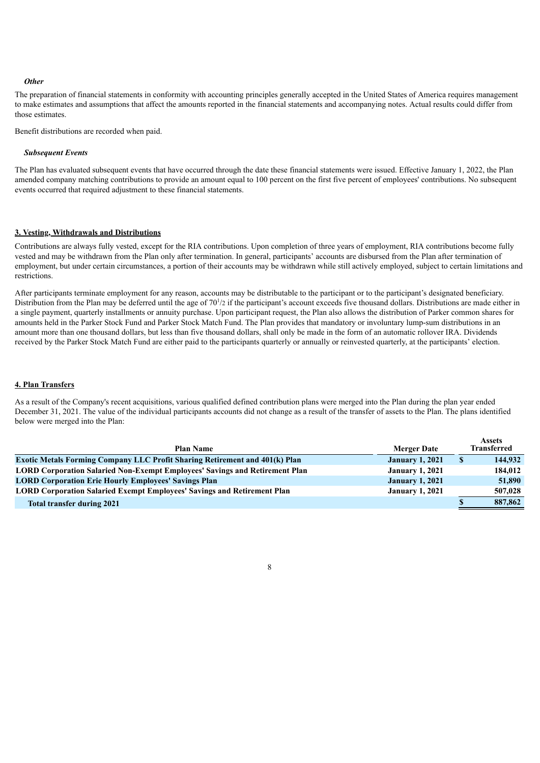#### *Other*

The preparation of financial statements in conformity with accounting principles generally accepted in the United States of America requires management to make estimates and assumptions that affect the amounts reported in the financial statements and accompanying notes. Actual results could differ from those estimates.

Benefit distributions are recorded when paid.

#### *Subsequent Events*

The Plan has evaluated subsequent events that have occurred through the date these financial statements were issued. Effective January 1, 2022, the Plan amended company matching contributions to provide an amount equal to 100 percent on the first five percent of employees' contributions. No subsequent events occurred that required adjustment to these financial statements.

#### **3. Vesting, Withdrawals and Distributions**

Contributions are always fully vested, except for the RIA contributions. Upon completion of three years of employment, RIA contributions become fully vested and may be withdrawn from the Plan only after termination. In general, participants' accounts are disbursed from the Plan after termination of employment, but under certain circumstances, a portion of their accounts may be withdrawn while still actively employed, subject to certain limitations and restrictions.

After participants terminate employment for any reason, accounts may be distributable to the participant or to the participant's designated beneficiary. Distribution from the Plan may be deferred until the age of  $70<sup>1</sup>/2$  if the participant's account exceeds five thousand dollars. Distributions are made either in a single payment, quarterly installments or annuity purchase. Upon participant request, the Plan also allows the distribution of Parker common shares for amounts held in the Parker Stock Fund and Parker Stock Match Fund. The Plan provides that mandatory or involuntary lump-sum distributions in an amount more than one thousand dollars, but less than five thousand dollars, shall only be made in the form of an automatic rollover IRA. Dividends received by the Parker Stock Match Fund are either paid to the participants quarterly or annually or reinvested quarterly, at the participants' election.

# **4. Plan Transfers**

As a result of the Company's recent acquisitions, various qualified defined contribution plans were merged into the Plan during the plan year ended December 31, 2021. The value of the individual participants accounts did not change as a result of the transfer of assets to the Plan. The plans identified below were merged into the Plan:

| <b>Plan Name</b><br><b>Merger Date</b>                                                                       |              | <b>Assets</b><br><b>Transferred</b> |
|--------------------------------------------------------------------------------------------------------------|--------------|-------------------------------------|
| <b>Exotic Metals Forming Company LLC Profit Sharing Retirement and 401(k) Plan</b><br><b>January 1, 2021</b> | <sup>S</sup> | 144,932                             |
| <b>LORD Corporation Salaried Non-Exempt Employees' Savings and Retirement Plan</b><br><b>January 1, 2021</b> |              | 184,012                             |
| <b>LORD Corporation Erie Hourly Employees' Savings Plan</b><br><b>January 1, 2021</b>                        |              | 51,890                              |
| <b>LORD Corporation Salaried Exempt Employees' Savings and Retirement Plan</b><br><b>January 1, 2021</b>     |              | 507,028                             |
| <b>Total transfer during 2021</b>                                                                            | S            | 887,862                             |

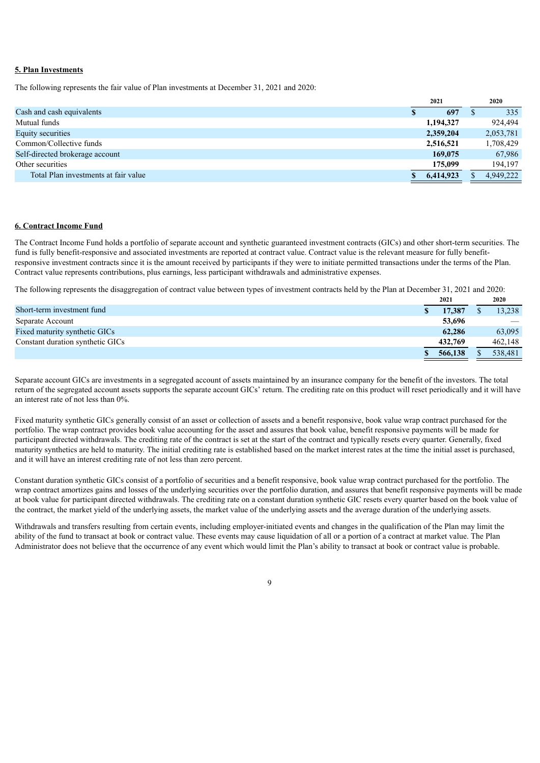#### **5. Plan Investments**

The following represents the fair value of Plan investments at December 31, 2021 and 2020:

|                                      | 2021      | 2020      |
|--------------------------------------|-----------|-----------|
| Cash and cash equivalents            | 697       | 335       |
| Mutual funds                         | 1,194,327 | 924.494   |
| Equity securities                    | 2,359,204 | 2,053,781 |
| Common/Collective funds              | 2,516,521 | 1,708,429 |
| Self-directed brokerage account      | 169,075   | 67,986    |
| Other securities                     | 175,099   | 194.197   |
| Total Plan investments at fair value | 6,414,923 | 4.949.222 |

# **6. Contract Income Fund**

The Contract Income Fund holds a portfolio of separate account and synthetic guaranteed investment contracts (GICs) and other short-term securities. The fund is fully benefit-responsive and associated investments are reported at contract value. Contract value is the relevant measure for fully benefitresponsive investment contracts since it is the amount received by participants if they were to initiate permitted transactions under the terms of the Plan. Contract value represents contributions, plus earnings, less participant withdrawals and administrative expenses.

The following represents the disaggregation of contract value between types of investment contracts held by the Plan at December 31, 2021 and 2020:

|                                  | 2021    | 2020    |
|----------------------------------|---------|---------|
| Short-term investment fund       | 17,387  | 13,238  |
| Separate Account                 | 53,696  |         |
| Fixed maturity synthetic GICs    | 62,286  | 63,095  |
| Constant duration synthetic GICs | 432,769 | 462.148 |
|                                  | 566,138 | 538.481 |

Separate account GICs are investments in a segregated account of assets maintained by an insurance company for the benefit of the investors. The total return of the segregated account assets supports the separate account GICs' return. The crediting rate on this product will reset periodically and it will have an interest rate of not less than 0%.

Fixed maturity synthetic GICs generally consist of an asset or collection of assets and a benefit responsive, book value wrap contract purchased for the portfolio. The wrap contract provides book value accounting for the asset and assures that book value, benefit responsive payments will be made for participant directed withdrawals. The crediting rate of the contract is set at the start of the contract and typically resets every quarter. Generally, fixed maturity synthetics are held to maturity. The initial crediting rate is established based on the market interest rates at the time the initial asset is purchased, and it will have an interest crediting rate of not less than zero percent.

Constant duration synthetic GICs consist of a portfolio of securities and a benefit responsive, book value wrap contract purchased for the portfolio. The wrap contract amortizes gains and losses of the underlying securities over the portfolio duration, and assures that benefit responsive payments will be made at book value for participant directed withdrawals. The crediting rate on a constant duration synthetic GIC resets every quarter based on the book value of the contract, the market yield of the underlying assets, the market value of the underlying assets and the average duration of the underlying assets.

Withdrawals and transfers resulting from certain events, including employer-initiated events and changes in the qualification of the Plan may limit the ability of the fund to transact at book or contract value. These events may cause liquidation of all or a portion of a contract at market value. The Plan Administrator does not believe that the occurrence of any event which would limit the Plan's ability to transact at book or contract value is probable.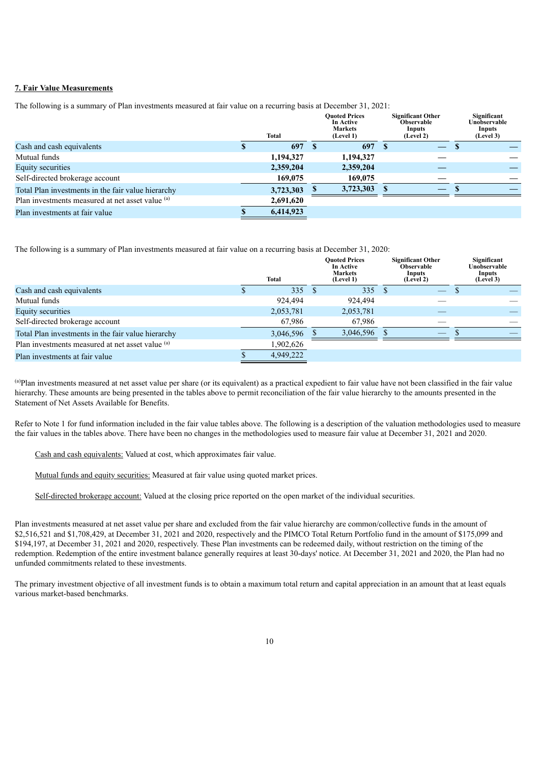#### **7. Fair Value Measurements**

The following is a summary of Plan investments measured at fair value on a recurring basis at December 31, 2021:

|                                                    | <b>Total</b> | <b>Ouoted Prices</b><br>In Active<br><b>Markets</b><br>(Level 1) | <b>Significant Other</b><br>Observable<br>Inputs<br>(Level 2) | <b>Significant</b><br>Unobservable<br>Inputs<br>(Level 3) |
|----------------------------------------------------|--------------|------------------------------------------------------------------|---------------------------------------------------------------|-----------------------------------------------------------|
| Cash and cash equivalents                          | 697          | 697                                                              | $\overline{\phantom{a}}$                                      |                                                           |
| Mutual funds                                       | 1,194,327    | 1,194,327                                                        |                                                               |                                                           |
| Equity securities                                  | 2,359,204    | 2,359,204                                                        |                                                               |                                                           |
| Self-directed brokerage account                    | 169,075      | 169,075                                                          |                                                               |                                                           |
| Total Plan investments in the fair value hierarchy | 3,723,303    | 3,723,303                                                        |                                                               |                                                           |
| Plan investments measured at net asset value (a)   | 2,691,620    |                                                                  |                                                               |                                                           |
| Plan investments at fair value                     | 6,414,923    |                                                                  |                                                               |                                                           |

The following is a summary of Plan investments measured at fair value on a recurring basis at December 31, 2020:

|                                                    | Total     | <b>Ouoted Prices</b><br>In Active<br><b>Markets</b><br>(Level 1) | <b>Significant Other</b><br><b>Observable</b><br>Inputs<br>(Level 2) | Significant<br>Unobservable<br>Inputs<br>(Level 3) |
|----------------------------------------------------|-----------|------------------------------------------------------------------|----------------------------------------------------------------------|----------------------------------------------------|
| Cash and cash equivalents                          | 335       | 335                                                              | $\hspace{0.05cm}$                                                    |                                                    |
| Mutual funds                                       | 924.494   | 924.494                                                          |                                                                      |                                                    |
| Equity securities                                  | 2,053,781 | 2,053,781                                                        |                                                                      |                                                    |
| Self-directed brokerage account                    | 67,986    | 67,986                                                           |                                                                      |                                                    |
| Total Plan investments in the fair value hierarchy | 3,046,596 | 3,046,596                                                        | $\overline{\phantom{m}}$                                             |                                                    |
| Plan investments measured at net asset value (a)   | 1,902,626 |                                                                  |                                                                      |                                                    |
| Plan investments at fair value                     | 4,949,222 |                                                                  |                                                                      |                                                    |

(a)Plan investments measured at net asset value per share (or its equivalent) as a practical expedient to fair value have not been classified in the fair value hierarchy. These amounts are being presented in the tables above to permit reconciliation of the fair value hierarchy to the amounts presented in the Statement of Net Assets Available for Benefits.

Refer to Note 1 for fund information included in the fair value tables above. The following is a description of the valuation methodologies used to measure the fair values in the tables above. There have been no changes in the methodologies used to measure fair value at December 31, 2021 and 2020.

Cash and cash equivalents: Valued at cost, which approximates fair value.

Mutual funds and equity securities: Measured at fair value using quoted market prices.

Self-directed brokerage account: Valued at the closing price reported on the open market of the individual securities.

Plan investments measured at net asset value per share and excluded from the fair value hierarchy are common/collective funds in the amount of \$2,516,521 and \$1,708,429, at December 31, 2021 and 2020, respectively and the PIMCO Total Return Portfolio fund in the amount of \$175,099 and \$194,197, at December 31, 2021 and 2020, respectively. These Plan investments can be redeemed daily, without restriction on the timing of the redemption. Redemption of the entire investment balance generally requires at least 30-days' notice. At December 31, 2021 and 2020, the Plan had no unfunded commitments related to these investments.

The primary investment objective of all investment funds is to obtain a maximum total return and capital appreciation in an amount that at least equals various market-based benchmarks.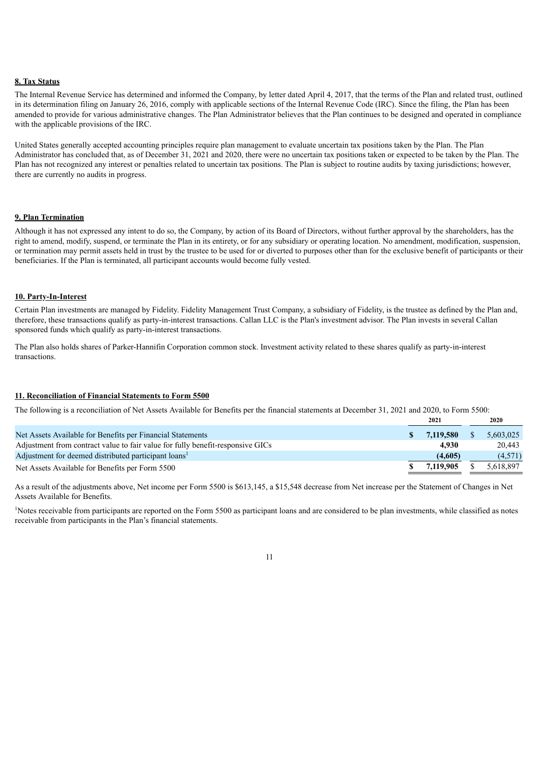#### **8. Tax Status**

The Internal Revenue Service has determined and informed the Company, by letter dated April 4, 2017, that the terms of the Plan and related trust, outlined in its determination filing on January 26, 2016, comply with applicable sections of the Internal Revenue Code (IRC). Since the filing, the Plan has been amended to provide for various administrative changes. The Plan Administrator believes that the Plan continues to be designed and operated in compliance with the applicable provisions of the IRC.

United States generally accepted accounting principles require plan management to evaluate uncertain tax positions taken by the Plan. The Plan Administrator has concluded that, as of December 31, 2021 and 2020, there were no uncertain tax positions taken or expected to be taken by the Plan. The Plan has not recognized any interest or penalties related to uncertain tax positions. The Plan is subject to routine audits by taxing jurisdictions; however, there are currently no audits in progress.

#### **9. Plan Termination**

Although it has not expressed any intent to do so, the Company, by action of its Board of Directors, without further approval by the shareholders, has the right to amend, modify, suspend, or terminate the Plan in its entirety, or for any subsidiary or operating location. No amendment, modification, suspension, or termination may permit assets held in trust by the trustee to be used for or diverted to purposes other than for the exclusive benefit of participants or their beneficiaries. If the Plan is terminated, all participant accounts would become fully vested.

#### **10. Party-In-Interest**

Certain Plan investments are managed by Fidelity. Fidelity Management Trust Company, a subsidiary of Fidelity, is the trustee as defined by the Plan and, therefore, these transactions qualify as party-in-interest transactions. Callan LLC is the Plan's investment advisor. The Plan invests in several Callan sponsored funds which qualify as party-in-interest transactions.

The Plan also holds shares of Parker-Hannifin Corporation common stock. Investment activity related to these shares qualify as party-in-interest transactions.

#### **11. Reconciliation of Financial Statements to Form 5500**

The following is a reconciliation of Net Assets Available for Benefits per the financial statements at December 31, 2021 and 2020, to Form 5500:

|                                                                                | 2021      | 2020      |
|--------------------------------------------------------------------------------|-----------|-----------|
| Net Assets Available for Benefits per Financial Statements                     | 7,119,580 | 5.603.025 |
| Adjustment from contract value to fair value for fully benefit-responsive GICs | 4.930     | 20.443    |
| Adjustment for deemed distributed participant loans <sup>1</sup>               | (4,605)   | (4,571)   |
| Net Assets Available for Benefits per Form 5500                                | 7,119,905 | 5.618.897 |

As a result of the adjustments above, Net income per Form 5500 is \$613,145, a \$15,548 decrease from Net increase per the Statement of Changes in Net Assets Available for Benefits.

<span id="page-12-0"></span><sup>1</sup>Notes receivable from participants are reported on the Form 5500 as participant loans and are considered to be plan investments, while classified as notes receivable from participants in the Plan's financial statements.

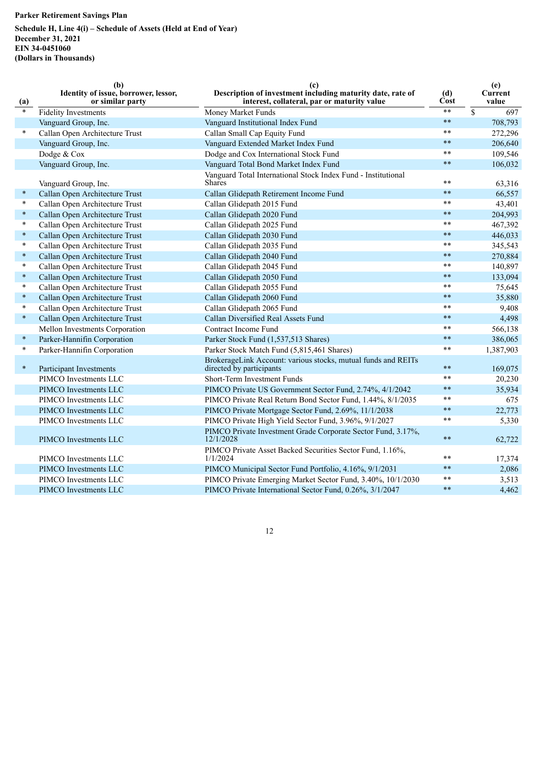**Schedule H, Line 4(i) – Schedule of Assets (Held at End of Year) December 31, 2021 EIN 34-0451060 (Dollars in Thousands)**

| (a)    | (b)<br>Identity of issue, borrower, lessor,<br>or similar party | (c)<br>Description of investment including maturity date, rate of<br>interest, collateral, par or maturity value | (d)<br>Cost | (e)<br><b>Current</b><br>value  |
|--------|-----------------------------------------------------------------|------------------------------------------------------------------------------------------------------------------|-------------|---------------------------------|
| $\ast$ | <b>Fidelity Investments</b>                                     | Money Market Funds                                                                                               | $***$       | $\overline{\mathcal{S}}$<br>697 |
|        | Vanguard Group, Inc.                                            | Vanguard Institutional Index Fund                                                                                | $***$       | 708,793                         |
| $\ast$ | Callan Open Architecture Trust                                  | Callan Small Cap Equity Fund                                                                                     | $* *$       | 272,296                         |
|        | Vanguard Group, Inc.                                            | Vanguard Extended Market Index Fund                                                                              | $\ast\ast$  | 206,640                         |
|        | Dodge & Cox                                                     | Dodge and Cox International Stock Fund                                                                           | **          | 109,546                         |
|        | Vanguard Group, Inc.                                            | Vanguard Total Bond Market Index Fund                                                                            | $\ast\ast$  | 106,032                         |
|        | Vanguard Group, Inc.                                            | Vanguard Total International Stock Index Fund - Institutional<br><b>Shares</b>                                   | $* *$       | 63,316                          |
| $\ast$ | Callan Open Architecture Trust                                  | Callan Glidepath Retirement Income Fund                                                                          | $\ast\ast$  | 66,557                          |
| $\ast$ | Callan Open Architecture Trust                                  | Callan Glidepath 2015 Fund                                                                                       | $* *$       | 43,401                          |
| $\ast$ | Callan Open Architecture Trust                                  | Callan Glidepath 2020 Fund                                                                                       | $***$       | 204,993                         |
| $\ast$ | Callan Open Architecture Trust                                  | Callan Glidepath 2025 Fund                                                                                       | $***$       | 467,392                         |
| $\ast$ | Callan Open Architecture Trust                                  | Callan Glidepath 2030 Fund                                                                                       | $***$       | 446,033                         |
| $\ast$ | Callan Open Architecture Trust                                  | Callan Glidepath 2035 Fund                                                                                       | $* *$       | 345,543                         |
| $\ast$ | Callan Open Architecture Trust                                  | Callan Glidepath 2040 Fund                                                                                       | $***$       | 270,884                         |
| $\ast$ | Callan Open Architecture Trust                                  | Callan Glidepath 2045 Fund                                                                                       | $***$       | 140,897                         |
| $\ast$ | Callan Open Architecture Trust                                  | Callan Glidepath 2050 Fund                                                                                       | $**$        | 133,094                         |
| $\ast$ | Callan Open Architecture Trust                                  | Callan Glidepath 2055 Fund                                                                                       | $* *$       | 75,645                          |
| $\ast$ | Callan Open Architecture Trust                                  | Callan Glidepath 2060 Fund                                                                                       | $***$       | 35,880                          |
| $\ast$ | Callan Open Architecture Trust                                  | Callan Glidepath 2065 Fund                                                                                       | $* *$       | 9,408                           |
| $\ast$ | Callan Open Architecture Trust                                  | Callan Diversified Real Assets Fund                                                                              | $***$       | 4,498                           |
|        | Mellon Investments Corporation                                  | <b>Contract Income Fund</b>                                                                                      | $**$        | 566,138                         |
| $\ast$ | Parker-Hannifin Corporation                                     | Parker Stock Fund (1,537,513 Shares)                                                                             | $***$       | 386,065                         |
| $\ast$ | Parker-Hannifin Corporation                                     | Parker Stock Match Fund (5,815,461 Shares)                                                                       | $* *$       | 1,387,903                       |
| $\ast$ | Participant Investments                                         | BrokerageLink Account: various stocks, mutual funds and REITs<br>directed by participants                        | $***$       | 169,075                         |
|        | PIMCO Investments LLC                                           | Short-Term Investment Funds                                                                                      | $***$       | 20,230                          |
|        | PIMCO Investments LLC                                           | PIMCO Private US Government Sector Fund, 2.74%, 4/1/2042                                                         | $\ast\ast$  | 35,934                          |
|        | PIMCO Investments LLC                                           | PIMCO Private Real Return Bond Sector Fund, 1.44%, 8/1/2035                                                      | $***$       | 675                             |
|        | PIMCO Investments LLC                                           | PIMCO Private Mortgage Sector Fund, 2.69%, 11/1/2038                                                             | $\ast\ast$  | 22,773                          |
|        | PIMCO Investments LLC                                           | PIMCO Private High Yield Sector Fund, 3.96%, 9/1/2027                                                            | $* *$       | 5,330                           |
|        | PIMCO Investments LLC                                           | PIMCO Private Investment Grade Corporate Sector Fund, 3.17%,<br>12/1/2028                                        | $\ast\ast$  | 62,722                          |
|        | PIMCO Investments LLC                                           | PIMCO Private Asset Backed Securities Sector Fund, 1.16%,<br>1/1/2024                                            | $* *$       | 17,374                          |
|        | PIMCO Investments LLC                                           | PIMCO Municipal Sector Fund Portfolio, 4.16%, 9/1/2031                                                           | $**$        | 2,086                           |
|        | PIMCO Investments LLC                                           | PIMCO Private Emerging Market Sector Fund, 3.40%, 10/1/2030                                                      | $* *$       | 3,513                           |
|        | PIMCO Investments LLC                                           | PIMCO Private International Sector Fund, 0.26%, 3/1/2047                                                         | $***$       | 4,462                           |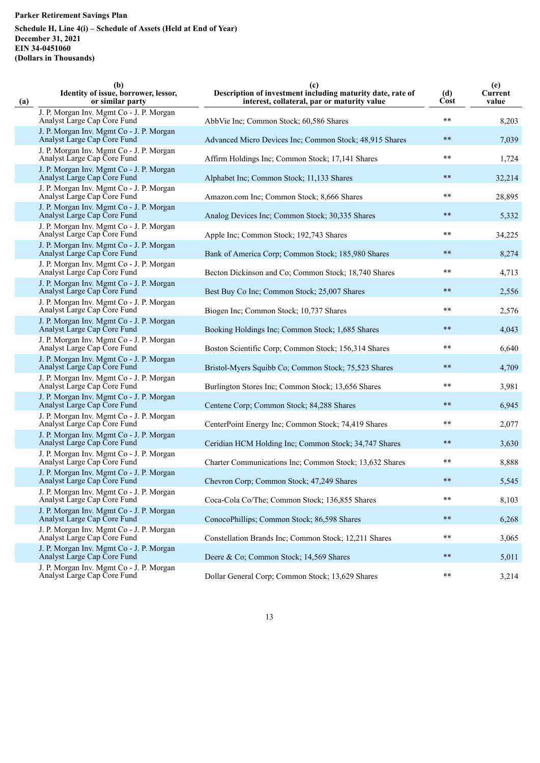**Schedule H, Line 4(i) – Schedule of Assets (Held at End of Year) December 31, 2021 EIN 34-0451060 (Dollars in Thousands)**

| (a) | (b)<br>Identity of issue, borrower, lessor,<br>or similar party         | (c)<br>Description of investment including maturity date, rate of<br>interest, collateral, par or maturity value | (d)<br>Cost   | (e)<br>Current<br>value |
|-----|-------------------------------------------------------------------------|------------------------------------------------------------------------------------------------------------------|---------------|-------------------------|
|     | J. P. Morgan Inv. Mgmt Co - J. P. Morgan<br>Analyst Large Cap Core Fund | AbbVie Inc; Common Stock; 60,586 Shares                                                                          | $* *$         | 8,203                   |
|     | J. P. Morgan Inv. Mgmt Co - J. P. Morgan<br>Analyst Large Cap Core Fund | Advanced Micro Devices Inc; Common Stock; 48,915 Shares                                                          | $***$         | 7,039                   |
|     | J. P. Morgan Inv. Mgmt Co - J. P. Morgan<br>Analyst Large Cap Core Fund | Affirm Holdings Inc; Common Stock; 17,141 Shares                                                                 | $***$         | 1,724                   |
|     | J. P. Morgan Inv. Mgmt Co - J. P. Morgan<br>Analyst Large Cap Core Fund | Alphabet Inc; Common Stock; 11,133 Shares                                                                        | $* *$         | 32,214                  |
|     | J. P. Morgan Inv. Mgmt Co - J. P. Morgan<br>Analyst Large Cap Core Fund | Amazon.com Inc; Common Stock; 8,666 Shares                                                                       | $* *$         | 28,895                  |
|     | J. P. Morgan Inv. Mgmt Co - J. P. Morgan<br>Analyst Large Cap Core Fund | Analog Devices Inc; Common Stock; 30,335 Shares                                                                  | $***$         | 5,332                   |
|     | J. P. Morgan Inv. Mgmt Co - J. P. Morgan<br>Analyst Large Cap Core Fund | Apple Inc; Common Stock; 192,743 Shares                                                                          | $***$         | 34,225                  |
|     | J. P. Morgan Inv. Mgmt Co - J. P. Morgan<br>Analyst Large Cap Core Fund | Bank of America Corp; Common Stock; 185,980 Shares                                                               | $* *$         | 8,274                   |
|     | J. P. Morgan Inv. Mgmt Co - J. P. Morgan<br>Analyst Large Cap Core Fund | Becton Dickinson and Co; Common Stock; 18,740 Shares                                                             | $***$         | 4,713                   |
|     | J. P. Morgan Inv. Mgmt Co - J. P. Morgan<br>Analyst Large Cap Core Fund | Best Buy Co Inc; Common Stock; 25,007 Shares                                                                     | $***$         | 2,556                   |
|     | J. P. Morgan Inv. Mgmt Co - J. P. Morgan<br>Analyst Large Cap Core Fund | Biogen Inc; Common Stock; 10,737 Shares                                                                          | $***$         | 2,576                   |
|     | J. P. Morgan Inv. Mgmt Co - J. P. Morgan<br>Analyst Large Cap Core Fund | Booking Holdings Inc; Common Stock; 1,685 Shares                                                                 | $* *$         | 4,043                   |
|     | J. P. Morgan Inv. Mgmt Co - J. P. Morgan<br>Analyst Large Cap Core Fund | Boston Scientific Corp; Common Stock; 156,314 Shares                                                             | $***$         | 6,640                   |
|     | J. P. Morgan Inv. Mgmt Co - J. P. Morgan<br>Analyst Large Cap Core Fund | Bristol-Myers Squibb Co; Common Stock; 75,523 Shares                                                             | $***$         | 4,709                   |
|     | J. P. Morgan Inv. Mgmt Co - J. P. Morgan<br>Analyst Large Cap Core Fund | Burlington Stores Inc; Common Stock; 13,656 Shares                                                               | $***$         | 3,981                   |
|     | J. P. Morgan Inv. Mgmt Co - J. P. Morgan<br>Analyst Large Cap Core Fund | Centene Corp; Common Stock; 84,288 Shares                                                                        | $***$         | 6,945                   |
|     | J. P. Morgan Inv. Mgmt Co - J. P. Morgan<br>Analyst Large Cap Core Fund | CenterPoint Energy Inc; Common Stock; 74,419 Shares                                                              | $***$         | 2,077                   |
|     | J. P. Morgan Inv. Mgmt Co - J. P. Morgan<br>Analyst Large Cap Core Fund | Ceridian HCM Holding Inc; Common Stock; 34,747 Shares                                                            | $\ast\ast$    | 3,630                   |
|     | J. P. Morgan Inv. Mgmt Co - J. P. Morgan<br>Analyst Large Cap Core Fund | Charter Communications Inc; Common Stock; 13,632 Shares                                                          | $***$         | 8,888                   |
|     | J. P. Morgan Inv. Mgmt Co - J. P. Morgan<br>Analyst Large Cap Core Fund | Chevron Corp; Common Stock; 47,249 Shares                                                                        | $\ast$ $\ast$ | 5,545                   |
|     | J. P. Morgan Inv. Mgmt Co - J. P. Morgan<br>Analyst Large Cap Core Fund | Coca-Cola Co/The; Common Stock; 136,855 Shares                                                                   | $* *$         | 8,103                   |
|     | J. P. Morgan Inv. Mgmt Co - J. P. Morgan<br>Analyst Large Cap Core Fund | ConocoPhillips; Common Stock; 86,598 Shares                                                                      | $***$         | 6,268                   |
|     | J. P. Morgan Inv. Mgmt Co - J. P. Morgan<br>Analyst Large Cap Core Fund | Constellation Brands Inc; Common Stock; 12,211 Shares                                                            | $***$         | 3,065                   |
|     | J. P. Morgan Inv. Mgmt Co - J. P. Morgan<br>Analyst Large Cap Core Fund | Deere & Co; Common Stock; 14,569 Shares                                                                          | $***$         | 5,011                   |
|     | J. P. Morgan Inv. Mgmt Co - J. P. Morgan<br>Analyst Large Cap Core Fund | Dollar General Corp; Common Stock; 13,629 Shares                                                                 | $***$         | 3,214                   |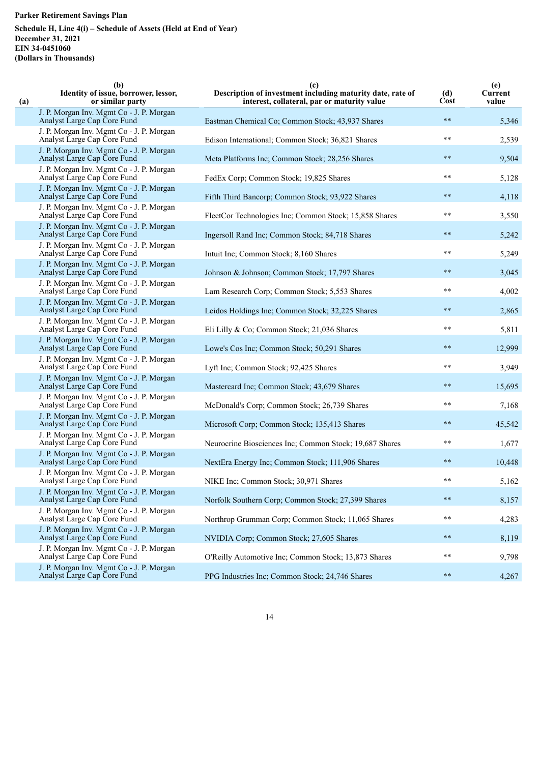**Schedule H, Line 4(i) – Schedule of Assets (Held at End of Year) December 31, 2021 EIN 34-0451060 (Dollars in Thousands)**

| (a) | (b)<br>Identity of issue, borrower, lessor,<br>or similar party         | (c)<br>Description of investment including maturity date, rate of<br>interest, collateral, par or maturity value | (d)<br>Cost   | (e)<br><b>Current</b><br>value |
|-----|-------------------------------------------------------------------------|------------------------------------------------------------------------------------------------------------------|---------------|--------------------------------|
|     | J. P. Morgan Inv. Mgmt Co - J. P. Morgan<br>Analyst Large Cap Core Fund | Eastman Chemical Co; Common Stock; 43,937 Shares                                                                 | $***$         | 5,346                          |
|     | J. P. Morgan Inv. Mgmt Co - J. P. Morgan<br>Analyst Large Cap Core Fund | Edison International; Common Stock; 36,821 Shares                                                                | $***$         | 2,539                          |
|     | J. P. Morgan Inv. Mgmt Co - J. P. Morgan<br>Analyst Large Cap Core Fund | Meta Platforms Inc; Common Stock; 28,256 Shares                                                                  | $\ast\ast$    | 9,504                          |
|     | J. P. Morgan Inv. Mgmt Co - J. P. Morgan<br>Analyst Large Cap Core Fund | FedEx Corp; Common Stock; 19,825 Shares                                                                          | $***$         | 5,128                          |
|     | J. P. Morgan Inv. Mgmt Co - J. P. Morgan<br>Analyst Large Cap Core Fund | Fifth Third Bancorp; Common Stock; 93,922 Shares                                                                 | $***$         | 4,118                          |
|     | J. P. Morgan Inv. Mgmt Co - J. P. Morgan<br>Analyst Large Cap Core Fund | FleetCor Technologies Inc; Common Stock; 15,858 Shares                                                           | $***$         | 3,550                          |
|     | J. P. Morgan Inv. Mgmt Co - J. P. Morgan<br>Analyst Large Cap Core Fund | Ingersoll Rand Inc; Common Stock; 84,718 Shares                                                                  | $\ast\ast$    | 5,242                          |
|     | J. P. Morgan Inv. Mgmt Co - J. P. Morgan<br>Analyst Large Cap Core Fund | Intuit Inc; Common Stock; 8,160 Shares                                                                           | $* *$         | 5,249                          |
|     | J. P. Morgan Inv. Mgmt Co - J. P. Morgan<br>Analyst Large Cap Core Fund | Johnson & Johnson; Common Stock; 17,797 Shares                                                                   | $\ast$ $\ast$ | 3,045                          |
|     | J. P. Morgan Inv. Mgmt Co - J. P. Morgan<br>Analyst Large Cap Core Fund | Lam Research Corp; Common Stock; 5,553 Shares                                                                    | $* *$         | 4,002                          |
|     | J. P. Morgan Inv. Mgmt Co - J. P. Morgan<br>Analyst Large Cap Core Fund | Leidos Holdings Inc; Common Stock; 32,225 Shares                                                                 | $\ast$ $\ast$ | 2,865                          |
|     | J. P. Morgan Inv. Mgmt Co - J. P. Morgan<br>Analyst Large Cap Core Fund | Eli Lilly & Co; Common Stock; 21,036 Shares                                                                      | $* *$         | 5,811                          |
|     | J. P. Morgan Inv. Mgmt Co - J. P. Morgan<br>Analyst Large Cap Core Fund | Lowe's Cos Inc; Common Stock; 50,291 Shares                                                                      | $***$         | 12,999                         |
|     | J. P. Morgan Inv. Mgmt Co - J. P. Morgan<br>Analyst Large Cap Core Fund | Lyft Inc; Common Stock; 92,425 Shares                                                                            | $* *$         | 3,949                          |
|     | J. P. Morgan Inv. Mgmt Co - J. P. Morgan<br>Analyst Large Cap Core Fund | Mastercard Inc; Common Stock; 43,679 Shares                                                                      | $***$         | 15,695                         |
|     | J. P. Morgan Inv. Mgmt Co - J. P. Morgan<br>Analyst Large Cap Core Fund | McDonald's Corp; Common Stock; 26,739 Shares                                                                     | $* *$         | 7,168                          |
|     | J. P. Morgan Inv. Mgmt Co - J. P. Morgan<br>Analyst Large Cap Core Fund | Microsoft Corp; Common Stock; 135,413 Shares                                                                     | $***$         | 45,542                         |
|     | J. P. Morgan Inv. Mgmt Co - J. P. Morgan<br>Analyst Large Cap Core Fund | Neurocrine Biosciences Inc; Common Stock; 19,687 Shares                                                          | $* *$         | 1,677                          |
|     | J. P. Morgan Inv. Mgmt Co - J. P. Morgan<br>Analyst Large Cap Core Fund | NextEra Energy Inc; Common Stock; 111,906 Shares                                                                 | $***$         | 10,448                         |
|     | J. P. Morgan Inv. Mgmt Co - J. P. Morgan<br>Analyst Large Cap Core Fund | NIKE Inc; Common Stock; 30,971 Shares                                                                            | $* *$         | 5,162                          |
|     | J. P. Morgan Inv. Mgmt Co - J. P. Morgan<br>Analyst Large Cap Core Fund | Norfolk Southern Corp; Common Stock; 27,399 Shares                                                               | $\ast$ $\ast$ | 8,157                          |
|     | J. P. Morgan Inv. Mgmt Co - J. P. Morgan<br>Analyst Large Cap Core Fund | Northrop Grumman Corp; Common Stock; 11,065 Shares                                                               | $***$         | 4,283                          |
|     | J. P. Morgan Inv. Mgmt Co - J. P. Morgan<br>Analyst Large Cap Core Fund | NVIDIA Corp; Common Stock; 27,605 Shares                                                                         | $***$         | 8,119                          |
|     | J. P. Morgan Inv. Mgmt Co - J. P. Morgan<br>Analyst Large Cap Core Fund | O'Reilly Automotive Inc; Common Stock; 13,873 Shares                                                             | $***$         | 9,798                          |
|     | J. P. Morgan Inv. Mgmt Co - J. P. Morgan<br>Analyst Large Cap Core Fund | PPG Industries Inc; Common Stock; 24,746 Shares                                                                  | $***$         | 4,267                          |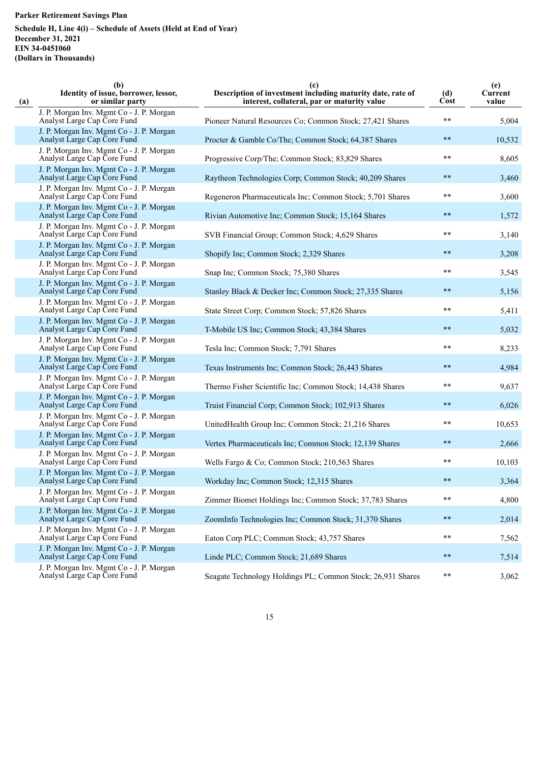**Schedule H, Line 4(i) – Schedule of Assets (Held at End of Year) December 31, 2021 EIN 34-0451060 (Dollars in Thousands)**

| (a) | (b)<br>Identity of issue, borrower, lessor,<br>or similar party         | (c)<br>Description of investment including maturity date, rate of<br>interest, collateral, par or maturity value | (d)<br>Cost | (e)<br>Current<br>value |
|-----|-------------------------------------------------------------------------|------------------------------------------------------------------------------------------------------------------|-------------|-------------------------|
|     | J. P. Morgan Inv. Mgmt Co - J. P. Morgan<br>Analyst Large Cap Core Fund | Pioneer Natural Resources Co; Common Stock; 27,421 Shares                                                        | $***$       | 5,004                   |
|     | J. P. Morgan Inv. Mgmt Co - J. P. Morgan<br>Analyst Large Cap Core Fund | Procter & Gamble Co/The; Common Stock; 64,387 Shares                                                             | $***$       | 10,532                  |
|     | J. P. Morgan Inv. Mgmt Co - J. P. Morgan<br>Analyst Large Cap Core Fund | Progressive Corp/The; Common Stock; 83,829 Shares                                                                | $* *$       | 8,605                   |
|     | J. P. Morgan Inv. Mgmt Co - J. P. Morgan<br>Analyst Large Cap Core Fund | Raytheon Technologies Corp; Common Stock; 40,209 Shares                                                          | $***$       | 3,460                   |
|     | J. P. Morgan Inv. Mgmt Co - J. P. Morgan<br>Analyst Large Cap Core Fund | Regeneron Pharmaceuticals Inc; Common Stock; 5,701 Shares                                                        | $***$       | 3,600                   |
|     | J. P. Morgan Inv. Mgmt Co - J. P. Morgan<br>Analyst Large Cap Core Fund | Rivian Automotive Inc; Common Stock; 15,164 Shares                                                               | $\ast\ast$  | 1,572                   |
|     | J. P. Morgan Inv. Mgmt Co - J. P. Morgan<br>Analyst Large Cap Core Fund | SVB Financial Group; Common Stock; 4,629 Shares                                                                  | $* *$       | 3,140                   |
|     | J. P. Morgan Inv. Mgmt Co - J. P. Morgan<br>Analyst Large Cap Core Fund | Shopify Inc; Common Stock; 2,329 Shares                                                                          | $**$        | 3,208                   |
|     | J. P. Morgan Inv. Mgmt Co - J. P. Morgan<br>Analyst Large Cap Core Fund | Snap Inc; Common Stock; 75,380 Shares                                                                            | $* *$       | 3,545                   |
|     | J. P. Morgan Inv. Mgmt Co - J. P. Morgan<br>Analyst Large Cap Core Fund | Stanley Black & Decker Inc; Common Stock; 27,335 Shares                                                          | $***$       | 5,156                   |
|     | J. P. Morgan Inv. Mgmt Co - J. P. Morgan<br>Analyst Large Cap Core Fund | State Street Corp; Common Stock; 57,826 Shares                                                                   | $* *$       | 5,411                   |
|     | J. P. Morgan Inv. Mgmt Co - J. P. Morgan<br>Analyst Large Cap Core Fund | T-Mobile US Inc; Common Stock; 43,384 Shares                                                                     | $**$        | 5,032                   |
|     | J. P. Morgan Inv. Mgmt Co - J. P. Morgan<br>Analyst Large Cap Core Fund | Tesla Inc; Common Stock; 7,791 Shares                                                                            | $* *$       | 8,233                   |
|     | J. P. Morgan Inv. Mgmt Co - J. P. Morgan<br>Analyst Large Cap Core Fund | Texas Instruments Inc; Common Stock; 26,443 Shares                                                               | $**$        | 4,984                   |
|     | J. P. Morgan Inv. Mgmt Co - J. P. Morgan<br>Analyst Large Cap Core Fund | Thermo Fisher Scientific Inc; Common Stock; 14,438 Shares                                                        | $* *$       | 9,637                   |
|     | J. P. Morgan Inv. Mgmt Co - J. P. Morgan<br>Analyst Large Cap Core Fund | Truist Financial Corp; Common Stock; 102,913 Shares                                                              | $**$        | 6,026                   |
|     | J. P. Morgan Inv. Mgmt Co - J. P. Morgan<br>Analyst Large Cap Core Fund | UnitedHealth Group Inc; Common Stock; 21,216 Shares                                                              | $* *$       | 10,653                  |
|     | J. P. Morgan Inv. Mgmt Co - J. P. Morgan<br>Analyst Large Cap Core Fund | Vertex Pharmaceuticals Inc; Common Stock; 12,139 Shares                                                          | $\ast\ast$  | 2,666                   |
|     | J. P. Morgan Inv. Mgmt Co - J. P. Morgan<br>Analyst Large Cap Core Fund | Wells Fargo & Co; Common Stock; 210,563 Shares                                                                   | $* *$       | 10,103                  |
|     | J. P. Morgan Inv. Mgmt Co - J. P. Morgan<br>Analyst Large Cap Core Fund | Workday Inc; Common Stock; 12,315 Shares                                                                         | $\ast\ast$  | 3,364                   |
|     | J. P. Morgan Inv. Mgmt Co - J. P. Morgan<br>Analyst Large Cap Core Fund | Zimmer Biomet Holdings Inc; Common Stock; 37,783 Shares                                                          | $* *$       | 4,800                   |
|     | J. P. Morgan Inv. Mgmt Co - J. P. Morgan<br>Analyst Large Cap Core Fund | ZoomInfo Technologies Inc; Common Stock; 31,370 Shares                                                           | $***$       | 2,014                   |
|     | J. P. Morgan Inv. Mgmt Co - J. P. Morgan<br>Analyst Large Cap Core Fund | Eaton Corp PLC; Common Stock; 43,757 Shares                                                                      | $* *$       | 7,562                   |
|     | J. P. Morgan Inv. Mgmt Co - J. P. Morgan<br>Analyst Large Cap Core Fund | Linde PLC; Common Stock; 21,689 Shares                                                                           | $***$       | 7,514                   |
|     | J. P. Morgan Inv. Mgmt Co - J. P. Morgan<br>Analyst Large Cap Core Fund | Seagate Technology Holdings PL; Common Stock; 26,931 Shares                                                      | **          | 3,062                   |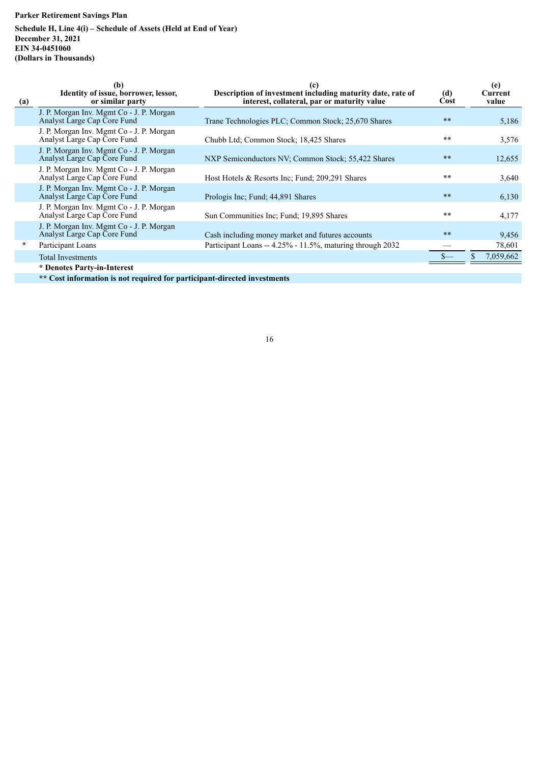**Schedule H, Line 4(i) – Schedule of Assets (Held at End of Year) December 31, 2021 EIN 34-0451060 (Dollars in Thousands)**

| (a) | (b)<br>Identity of issue, borrower, lessor,<br>or similar party          | (c)<br>Description of investment including maturity date, rate of<br>interest, collateral, par or maturity value | (d)<br>Cost | (e)<br>Current<br>value |
|-----|--------------------------------------------------------------------------|------------------------------------------------------------------------------------------------------------------|-------------|-------------------------|
|     | J. P. Morgan Inv. Mgmt Co - J. P. Morgan<br>Analyst Large Cap Core Fund  | Trane Technologies PLC; Common Stock; 25,670 Shares                                                              | $**$        | 5,186                   |
|     | J. P. Morgan Inv. Mgmt Co - J. P. Morgan<br>Analyst Large Cap Core Fund  | Chubb Ltd; Common Stock; 18,425 Shares                                                                           | $* *$       | 3,576                   |
|     | J. P. Morgan Inv. Mgmt Co - J. P. Morgan<br>Analyst Large Cap Core Fund  | NXP Semiconductors NV; Common Stock; 55,422 Shares                                                               | $**$        | 12,655                  |
|     | J. P. Morgan Inv. Mgmt Co - J. P. Morgan<br>Analyst Large Cap Core Fund  | Host Hotels & Resorts Inc; Fund; 209,291 Shares                                                                  | $* *$       | 3,640                   |
|     | J. P. Morgan Inv. Mgmt Co - J. P. Morgan<br>Analyst Large Cap Core Fund  | Prologis Inc; Fund; 44,891 Shares                                                                                | $**$        | 6,130                   |
|     | J. P. Morgan Inv. Mgmt Co - J. P. Morgan<br>Analyst Large Cap Core Fund  | Sun Communities Inc; Fund; 19,895 Shares                                                                         | $* *$       | 4,177                   |
|     | J. P. Morgan Inv. Mgmt Co - J. P. Morgan<br>Analyst Large Cap Core Fund  | Cash including money market and futures accounts                                                                 | $**$        | 9,456                   |
| *   | Participant Loans                                                        | Participant Loans -- 4.25% - 11.5%, maturing through 2032                                                        |             | 78,601                  |
|     | <b>Total Investments</b>                                                 |                                                                                                                  |             | 7,059,662               |
|     | * Denotes Party-in-Interest                                              |                                                                                                                  |             |                         |
|     | ** Cost information is not required for participant-directed investments |                                                                                                                  |             |                         |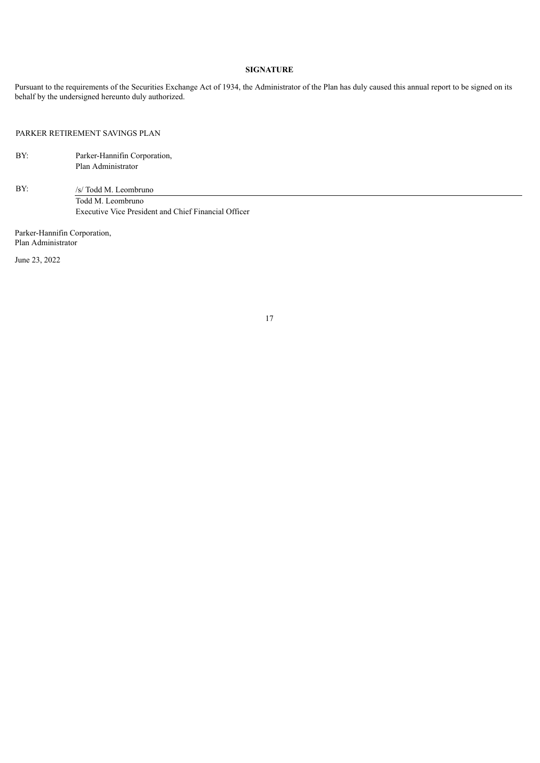# **SIGNATURE**

Pursuant to the requirements of the Securities Exchange Act of 1934, the Administrator of the Plan has duly caused this annual report to be signed on its behalf by the undersigned hereunto duly authorized.

#### PARKER RETIREMENT SAVINGS PLAN

BY: Parker-Hannifin Corporation, Plan Administrator

BY: /s/ Todd M. Leombruno Todd M. Leombruno

Executive Vice President and Chief Financial Officer

Parker-Hannifin Corporation, Plan Administrator

June 23, 2022